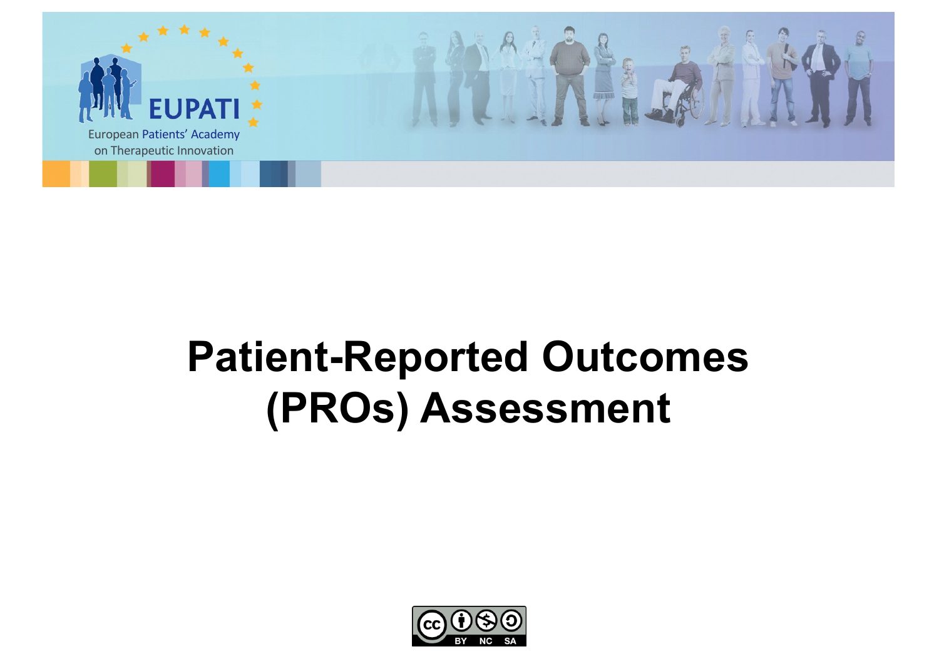

# **Patient-Reported Outcomes (PROs) Assessment**

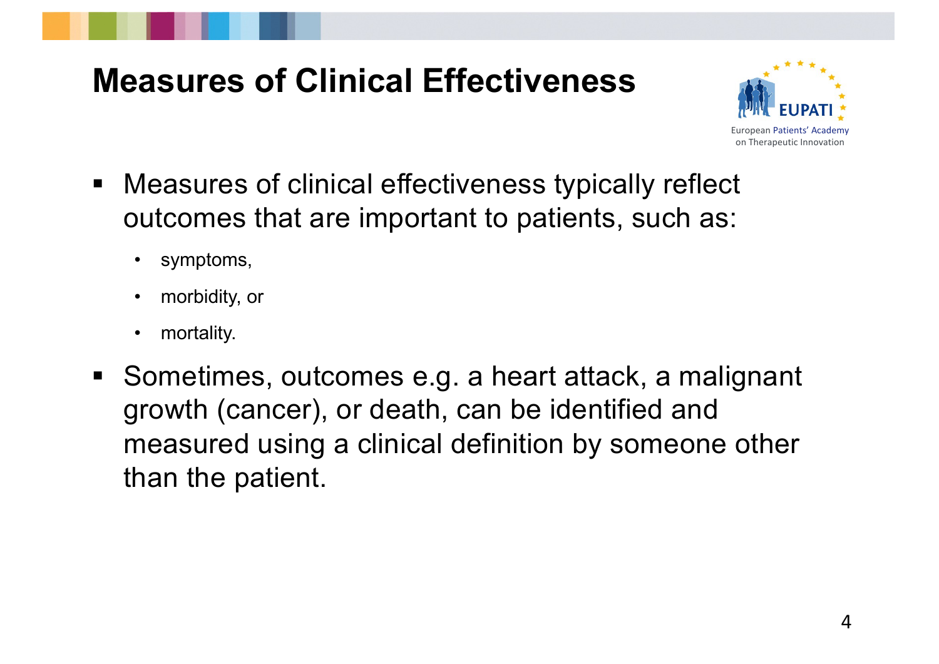## **Measures of Clinical Effectiveness**



- Measures of clinical effectiveness typically reflect outcomes that are important to patients, such as:
	- symptoms,
	- morbidity, or
	- mortality.
- Sometimes, outcomes e.g. a heart attack, a malignant growth (cancer), or death, can be identified and measured using a clinical definition by someone other than the patient.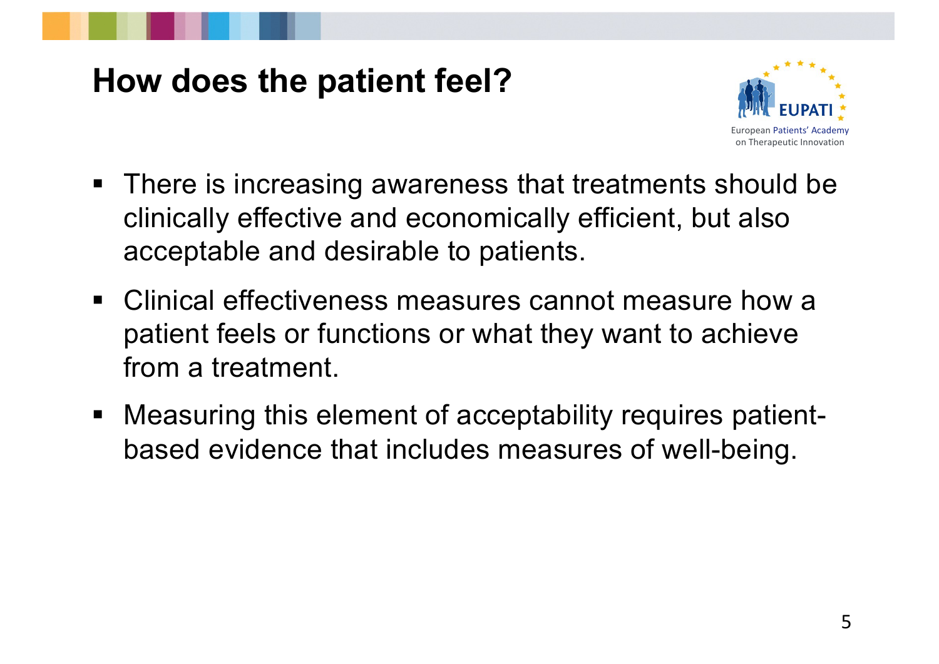#### **How does the patient feel?**



- There is increasing awareness that treatments should be clinically effective and economically efficient, but also acceptable and desirable to patients.
- Clinical effectiveness measures cannot measure how a patient feels or functions or what they want to achieve from a treatment.
- Measuring this element of acceptability requires patientbased evidence that includes measures of well-being.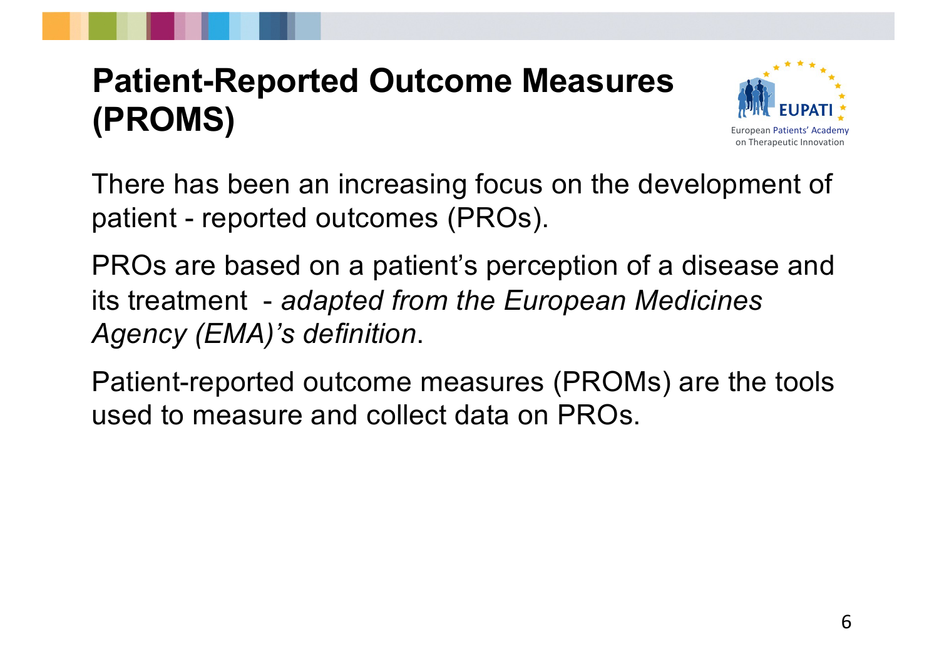## **Patient-Reported Outcome Measures (PROMS)**



There has been an increasing focus on the development of patient - reported outcomes (PROs).

PROs are based on a patient's perception of a disease and its treatment - *adapted from the European Medicines Agency (EMA)'s definition*.

Patient-reported outcome measures (PROMs) are the tools used to measure and collect data on PROs.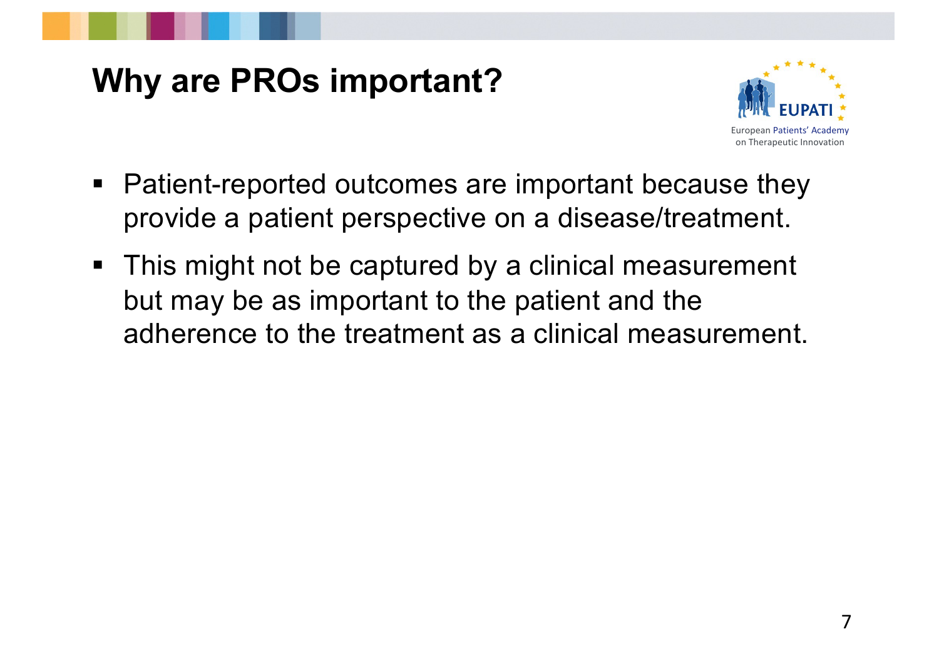## **Why are PROs important?**



- Patient-reported outcomes are important because they provide a patient perspective on a disease/treatment.
- This might not be captured by a clinical measurement but may be as important to the patient and the adherence to the treatment as a clinical measurement.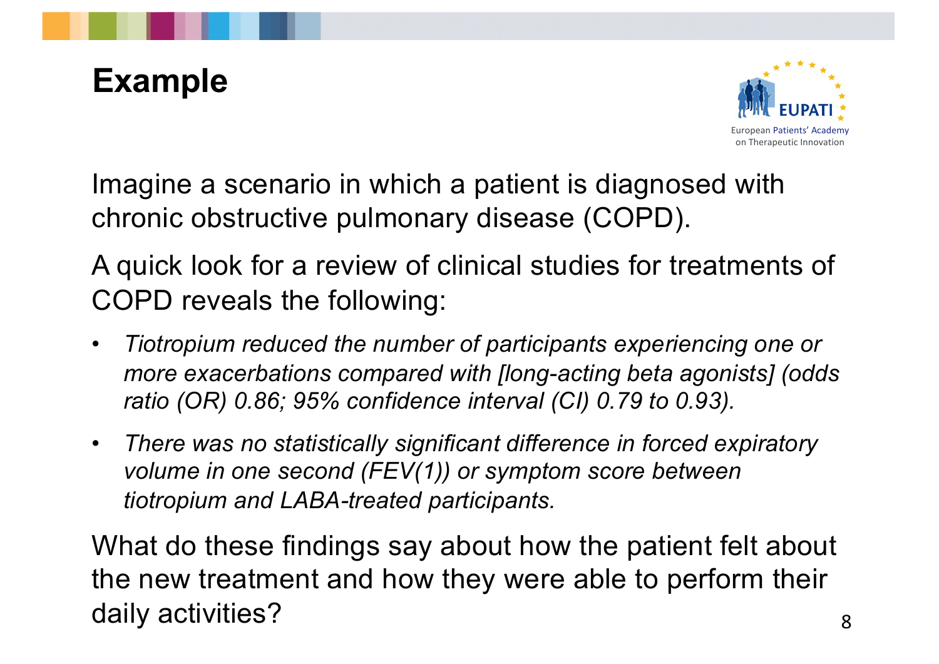## **Example**



Imagine a scenario in which a patient is diagnosed with chronic obstructive pulmonary disease (COPD).

A quick look for a review of clinical studies for treatments of COPD reveals the following:

- *Tiotropium reduced the number of participants experiencing one or more exacerbations compared with [long-acting beta agonists] (odds ratio (OR) 0.86; 95% confidence interval (CI) 0.79 to 0.93).*
- *There was no statistically significant difference in forced expiratory volume in one second (FEV(1)) or symptom score between tiotropium and LABA-treated participants.*

What do these findings say about how the patient felt about the new treatment and how they were able to perform their daily activities?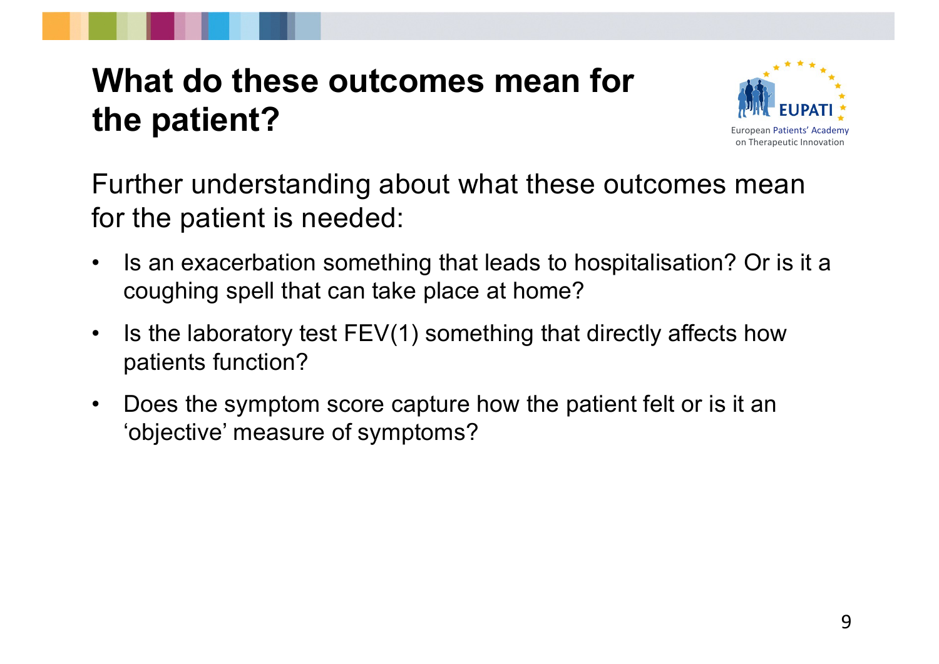### **What do these outcomes mean for the patient?**



Further understanding about what these outcomes mean for the patient is needed:

- Is an exacerbation something that leads to hospitalisation? Or is it a coughing spell that can take place at home?
- Is the laboratory test FEV(1) something that directly affects how patients function?
- Does the symptom score capture how the patient felt or is it an 'objective' measure of symptoms?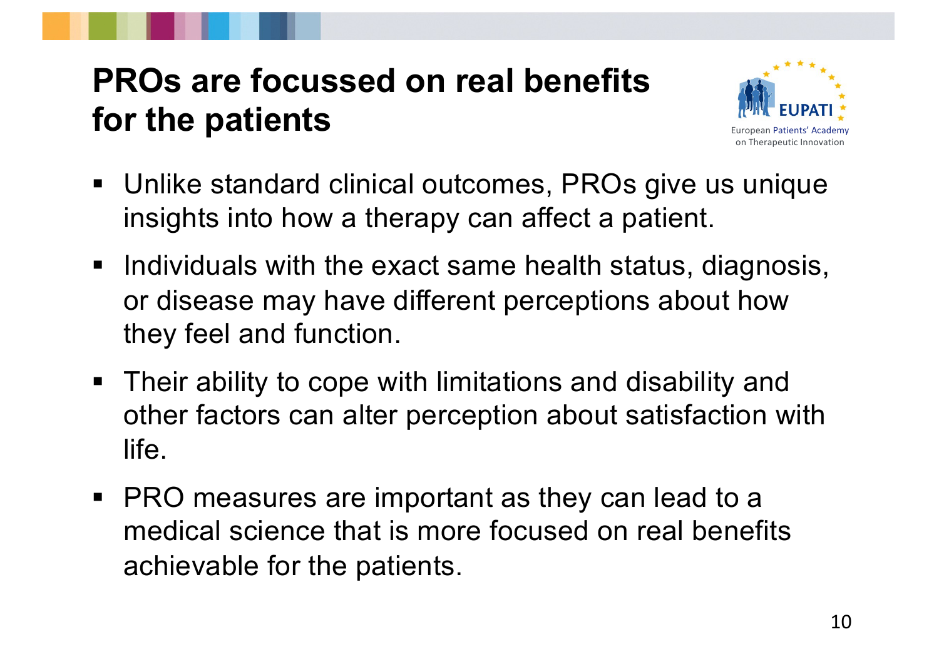## **PROs are focussed on real benefits for the patients**



- Unlike standard clinical outcomes, PROs give us unique insights into how a therapy can affect a patient.
- Individuals with the exact same health status, diagnosis, or disease may have different perceptions about how they feel and function.
- Their ability to cope with limitations and disability and other factors can alter perception about satisfaction with life.
- PRO measures are important as they can lead to a medical science that is more focused on real benefits achievable for the patients.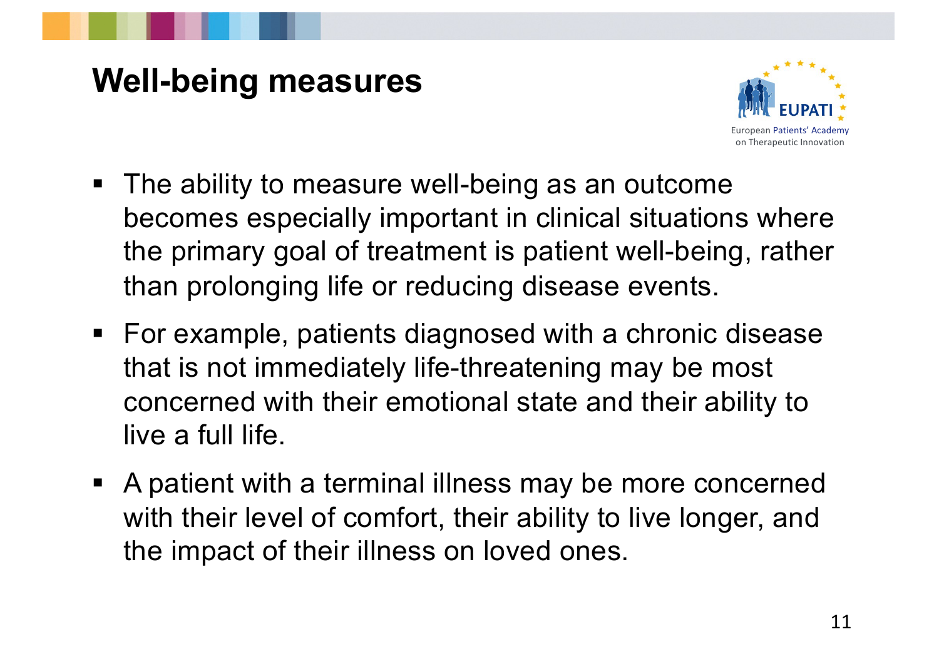## **Well-being measures**



- The ability to measure well-being as an outcome becomes especially important in clinical situations where the primary goal of treatment is patient well-being, rather than prolonging life or reducing disease events.
- For example, patients diagnosed with a chronic disease that is not immediately life-threatening may be most concerned with their emotional state and their ability to live a full life.
- A patient with a terminal illness may be more concerned with their level of comfort, their ability to live longer, and the impact of their illness on loved ones.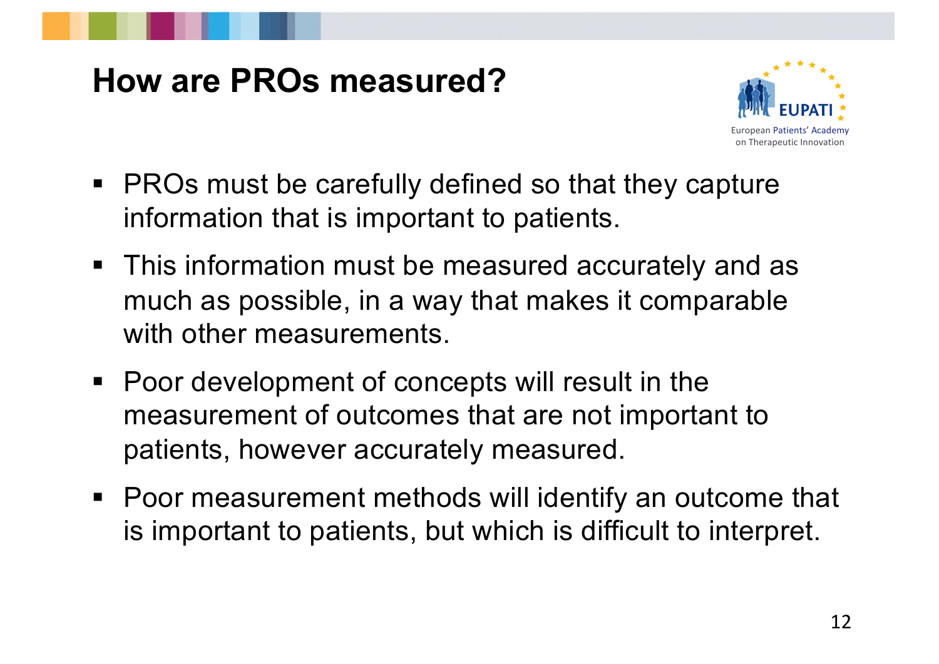#### **How are PROs measured?**



- PROs must be carefully defined so that they capture information that is important to patients.
- This information must be measured accurately and as much as possible, in a way that makes it comparable with other measurements.
- Poor development of concepts will result in the measurement of outcomes that are not important to patients, however accurately measured.
- Poor measurement methods will identify an outcome that is important to patients, but which is difficult to interpret.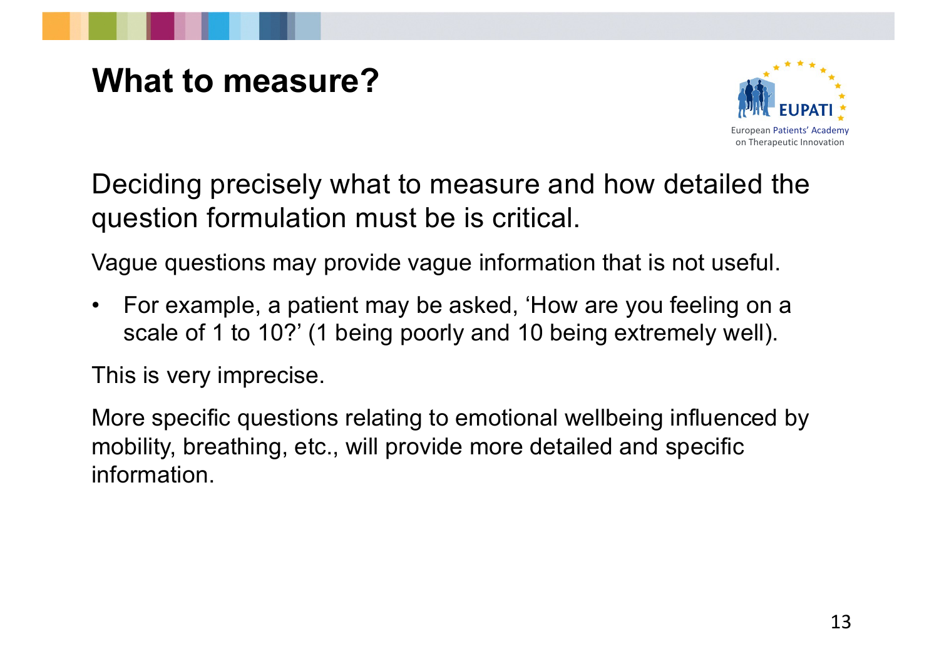#### **What to measure?**



Deciding precisely what to measure and how detailed the question formulation must be is critical.

Vague questions may provide vague information that is not useful.

• For example, a patient may be asked, 'How are you feeling on a scale of 1 to 10?' (1 being poorly and 10 being extremely well).

This is very imprecise.

More specific questions relating to emotional wellbeing influenced by mobility, breathing, etc., will provide more detailed and specific information.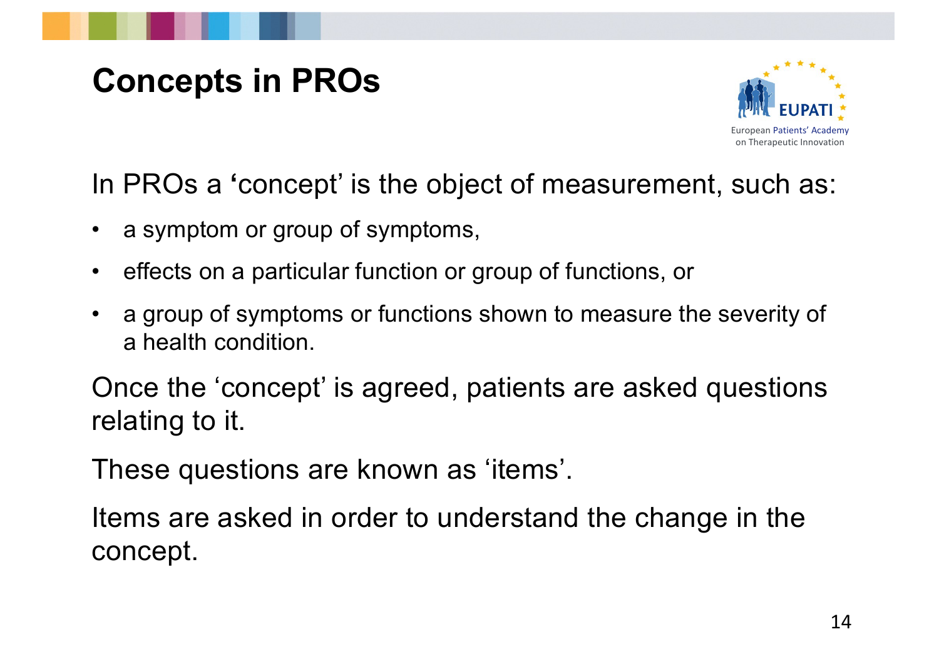## **Concepts in PROs**



In PROs a **'**concept' is the object of measurement, such as:

- a symptom or group of symptoms,
- effects on a particular function or group of functions, or
- a group of symptoms or functions shown to measure the severity of a health condition.

Once the 'concept' is agreed, patients are asked questions relating to it.

These questions are known as 'items'.

Items are asked in order to understand the change in the concept.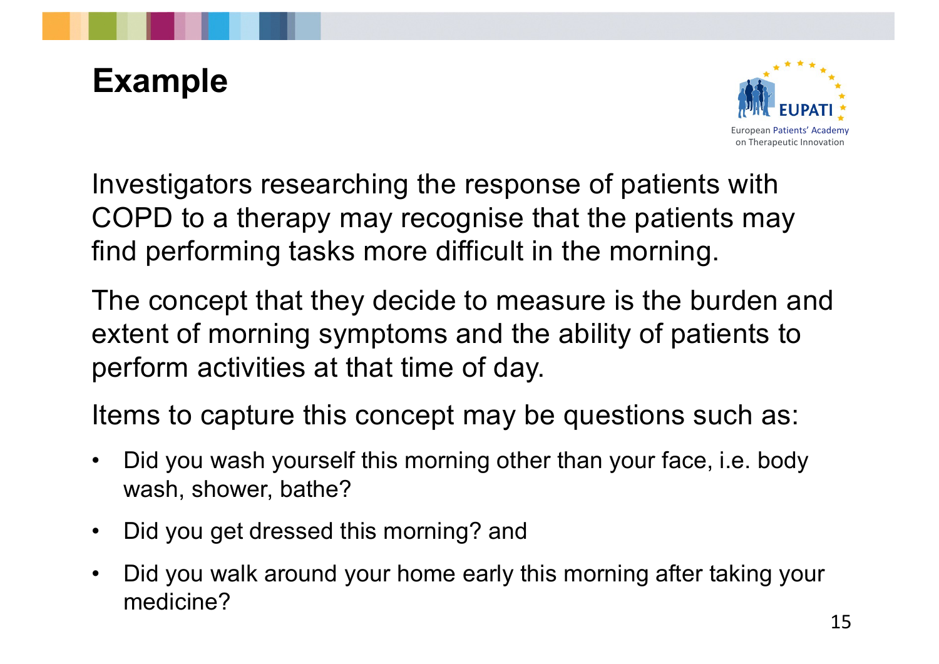## **Example**



Investigators researching the response of patients with COPD to a therapy may recognise that the patients may find performing tasks more difficult in the morning.

The concept that they decide to measure is the burden and extent of morning symptoms and the ability of patients to perform activities at that time of day.

Items to capture this concept may be questions such as:

- Did you wash yourself this morning other than your face, i.e. body wash, shower, bathe?
- Did you get dressed this morning? and
- Did you walk around your home early this morning after taking your medicine?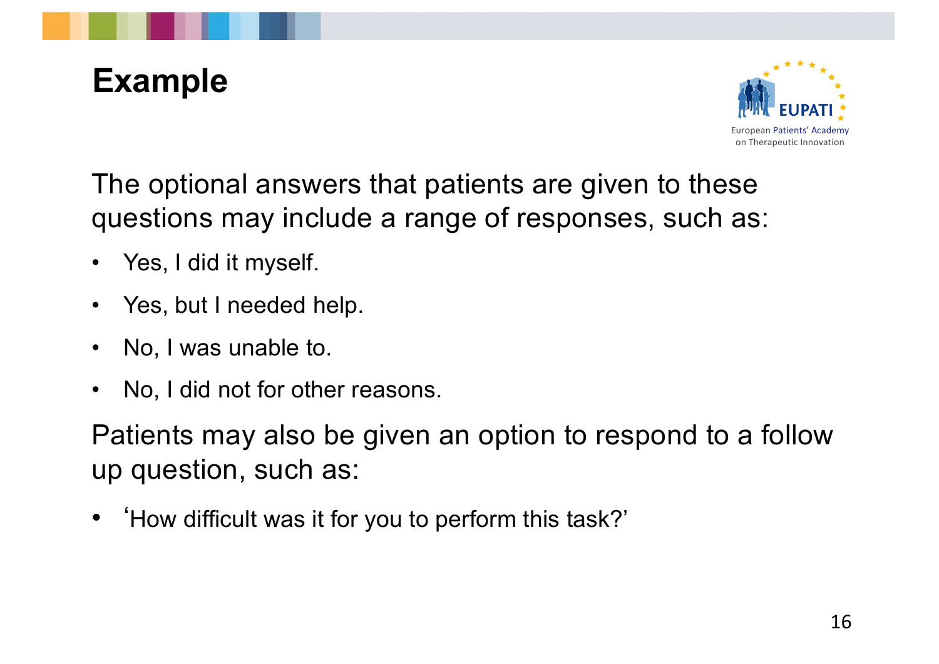## **Example**



The optional answers that patients are given to these questions may include a range of responses, such as:

- Yes, I did it myself.
- Yes, but I needed help.
- No, I was unable to.
- No, I did not for other reasons.

Patients may also be given an option to respond to a follow up question, such as:

• 'How difficult was it for you to perform this task?'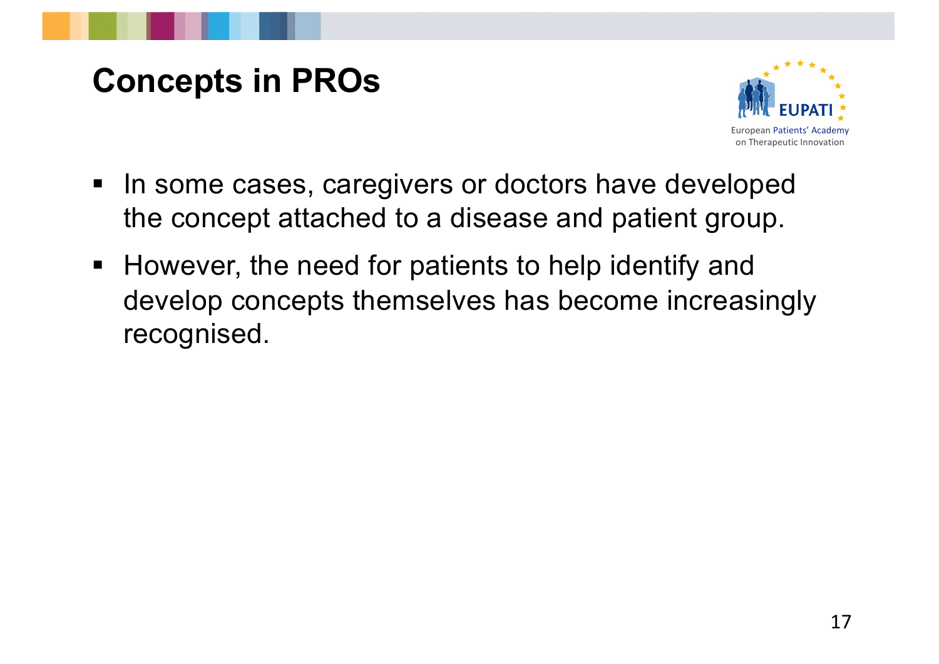## **Concepts in PROs**



- In some cases, caregivers or doctors have developed the concept attached to a disease and patient group.
- However, the need for patients to help identify and develop concepts themselves has become increasingly recognised.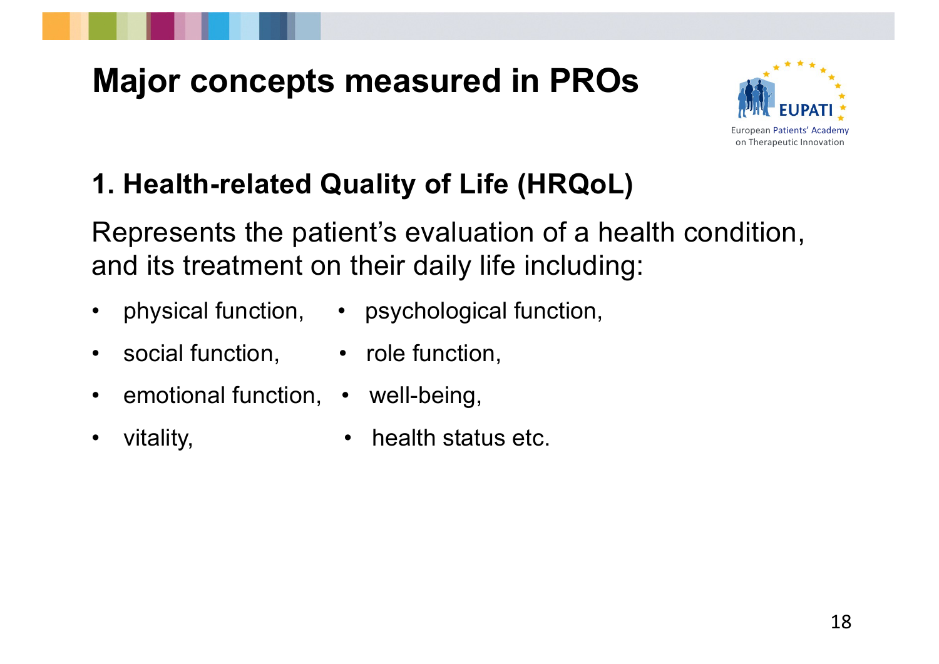

#### **1. Health-related Quality of Life (HRQoL)**

Represents the patient's evaluation of a health condition, and its treatment on their daily life including:

- 
- physical function, psychological function,
- social function, role function,
- emotional function, well-being,
- 
- vitality, **•** health status etc.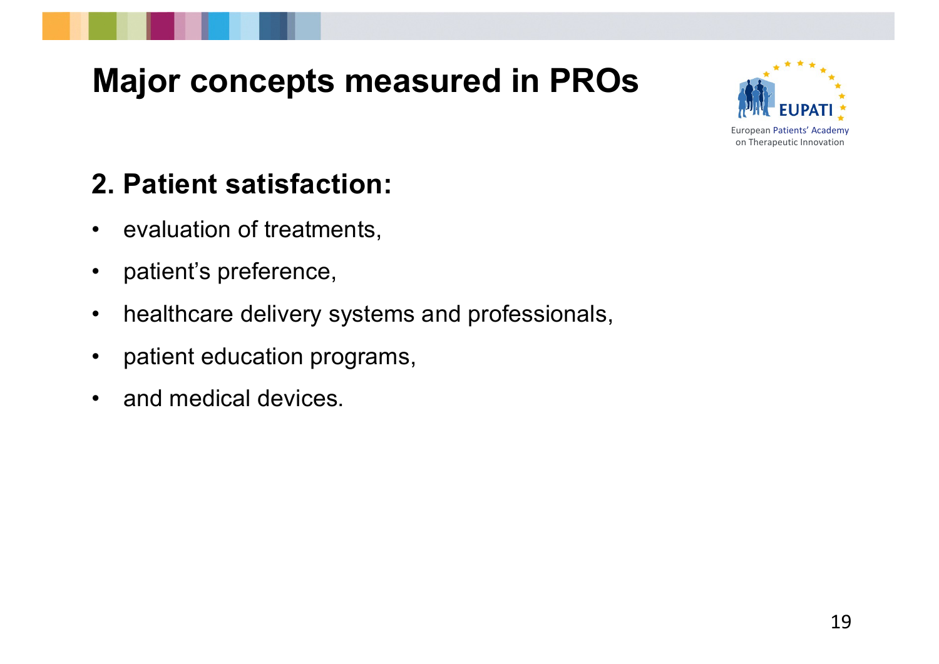

#### **2. Patient satisfaction:**

- evaluation of treatments,
- patient's preference,
- healthcare delivery systems and professionals,
- patient education programs,
- and medical devices.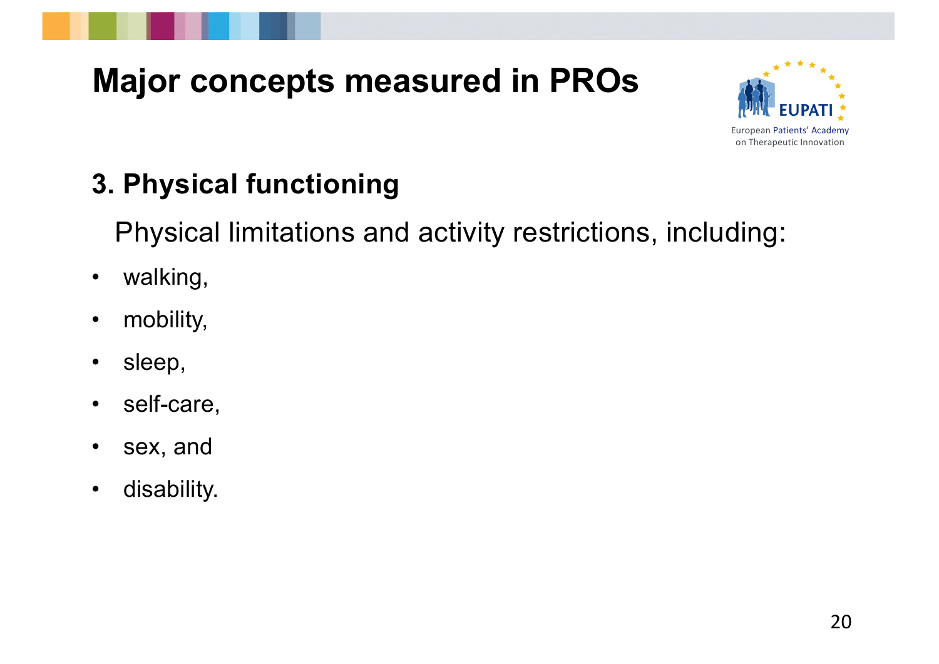

#### **3. Physical functioning**

Physical limitations and activity restrictions, including:

- walking,
- mobility,
- sleep,
- self-care,
- sex, and
- disability.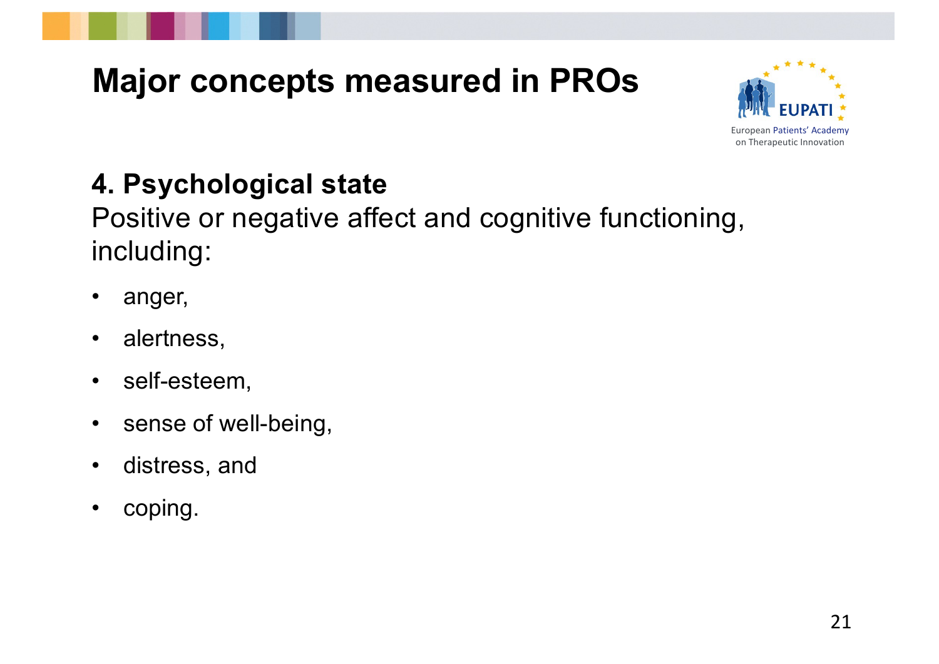



#### **4. Psychological state**

Positive or negative affect and cognitive functioning, including:

- anger,
- alertness,
- self-esteem,
- sense of well-being,
- distress, and
- coping.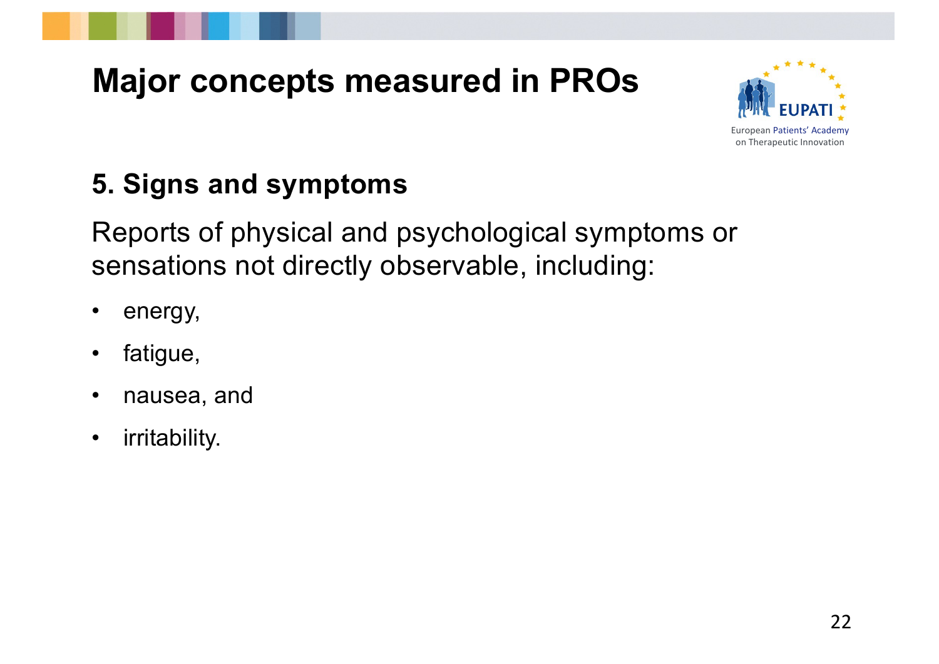



#### **5. Signs and symptoms**

Reports of physical and psychological symptoms or sensations not directly observable, including:

- energy,
- fatigue,
- nausea, and
- irritability.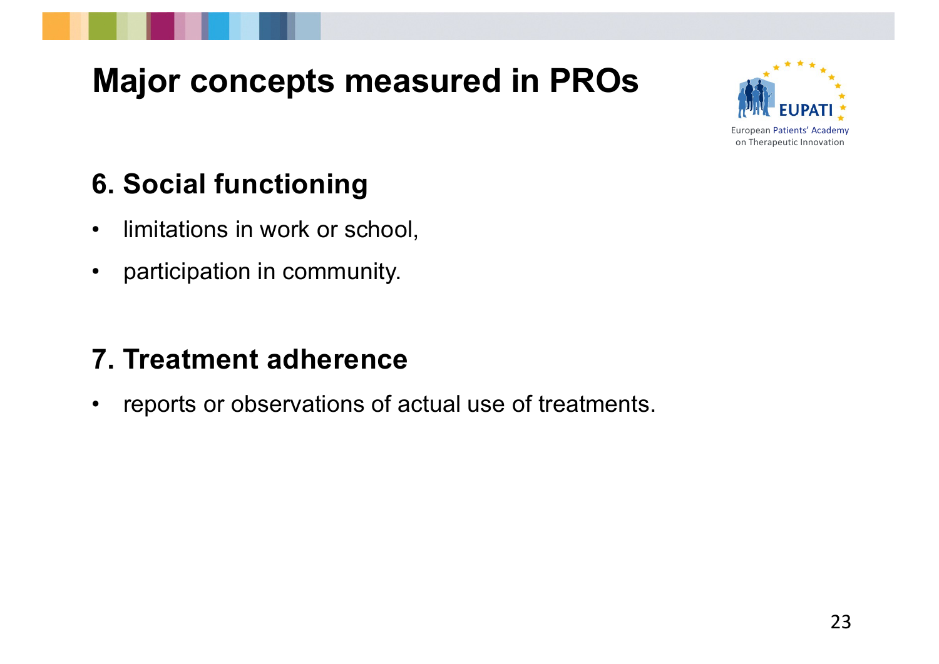

#### **6. Social functioning**

- limitations in work or school,
- participation in community.

#### **7. Treatment adherence**

• reports or observations of actual use of treatments.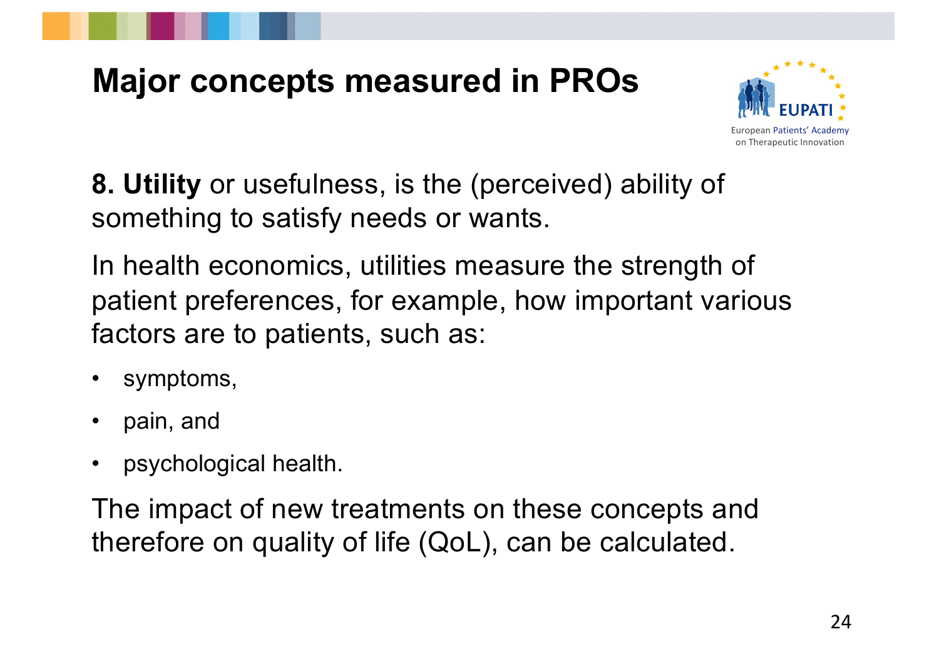



**8. Utility** or usefulness, is the (perceived) ability of something to satisfy needs or wants.

In health economics, utilities measure the strength of patient preferences, for example, how important various factors are to patients, such as:

- symptoms,
- pain, and
- psychological health.

The impact of new treatments on these concepts and therefore on quality of life (QoL), can be calculated.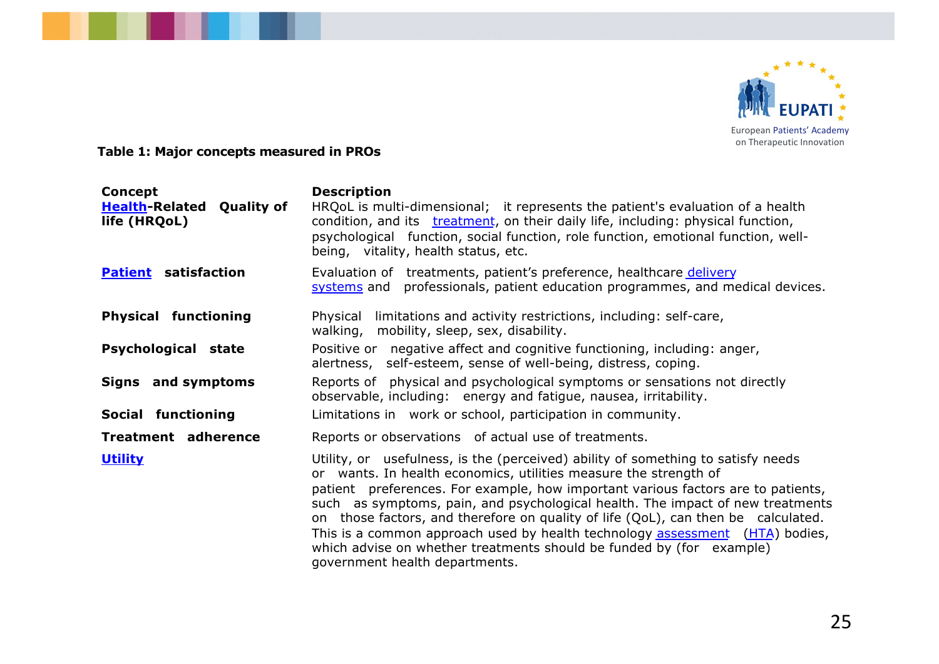

**Table 1: Major concepts measured in PROs**

| Concept<br><b>Health-Related Quality of</b><br>life (HRQoL) | <b>Description</b><br>HRQoL is multi-dimensional; it represents the patient's evaluation of a health<br>condition, and its the teatment, on their daily life, including: physical function,<br>psychological function, social function, role function, emotional function, well-<br>being, vitality, health status, etc.                                                                                                                                                                                                                                                                                  |
|-------------------------------------------------------------|-----------------------------------------------------------------------------------------------------------------------------------------------------------------------------------------------------------------------------------------------------------------------------------------------------------------------------------------------------------------------------------------------------------------------------------------------------------------------------------------------------------------------------------------------------------------------------------------------------------|
| <b>Patient</b> satisfaction                                 | Evaluation of treatments, patient's preference, healthcare delivery<br>systems and professionals, patient education programmes, and medical devices.                                                                                                                                                                                                                                                                                                                                                                                                                                                      |
| <b>Physical functioning</b>                                 | Physical limitations and activity restrictions, including: self-care,<br>walking, mobility, sleep, sex, disability.                                                                                                                                                                                                                                                                                                                                                                                                                                                                                       |
| <b>Psychological state</b>                                  | Positive or negative affect and cognitive functioning, including: anger,<br>alertness, self-esteem, sense of well-being, distress, coping.                                                                                                                                                                                                                                                                                                                                                                                                                                                                |
| Signs and symptoms                                          | Reports of physical and psychological symptoms or sensations not directly<br>observable, including: energy and fatigue, nausea, irritability.                                                                                                                                                                                                                                                                                                                                                                                                                                                             |
| Social functioning                                          | Limitations in work or school, participation in community.                                                                                                                                                                                                                                                                                                                                                                                                                                                                                                                                                |
| <b>Treatment adherence</b>                                  | Reports or observations of actual use of treatments.                                                                                                                                                                                                                                                                                                                                                                                                                                                                                                                                                      |
| <b>Utility</b>                                              | Utility, or usefulness, is the (perceived) ability of something to satisfy needs<br>or wants. In health economics, utilities measure the strength of<br>patient preferences. For example, how important various factors are to patients,<br>such as symptoms, pain, and psychological health. The impact of new treatments<br>on those factors, and therefore on quality of life (QoL), can then be calculated.<br>This is a common approach used by health technology assessment (HTA) bodies,<br>which advise on whether treatments should be funded by (for example)<br>government health departments. |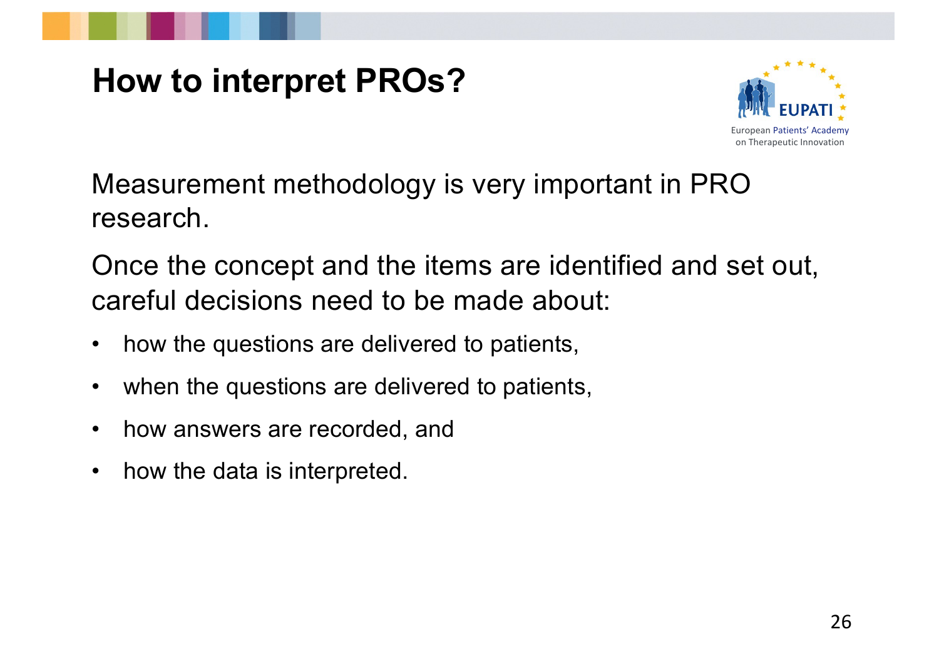

## **How to interpret PROs?**



Measurement methodology is very important in PRO research.

Once the concept and the items are identified and set out, careful decisions need to be made about:

- how the questions are delivered to patients,
- when the questions are delivered to patients,
- how answers are recorded, and
- how the data is interpreted.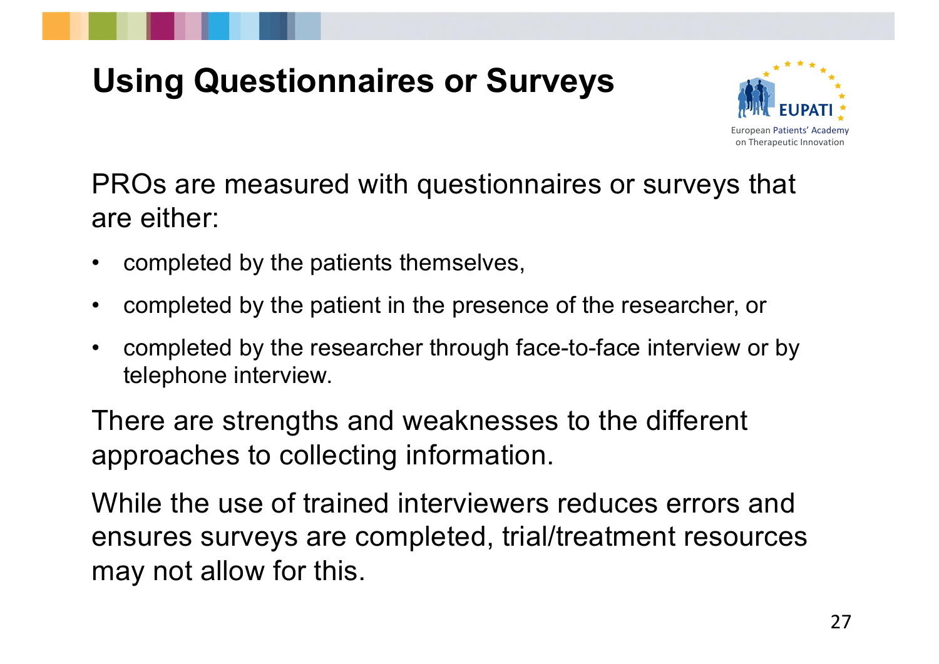## **Using Questionnaires or Surveys**



PROs are measured with questionnaires or surveys that are either:

- completed by the patients themselves,
- completed by the patient in the presence of the researcher, or
- completed by the researcher through face-to-face interview or by telephone interview.

There are strengths and weaknesses to the different approaches to collecting information.

While the use of trained interviewers reduces errors and ensures surveys are completed, trial/treatment resources may not allow for this.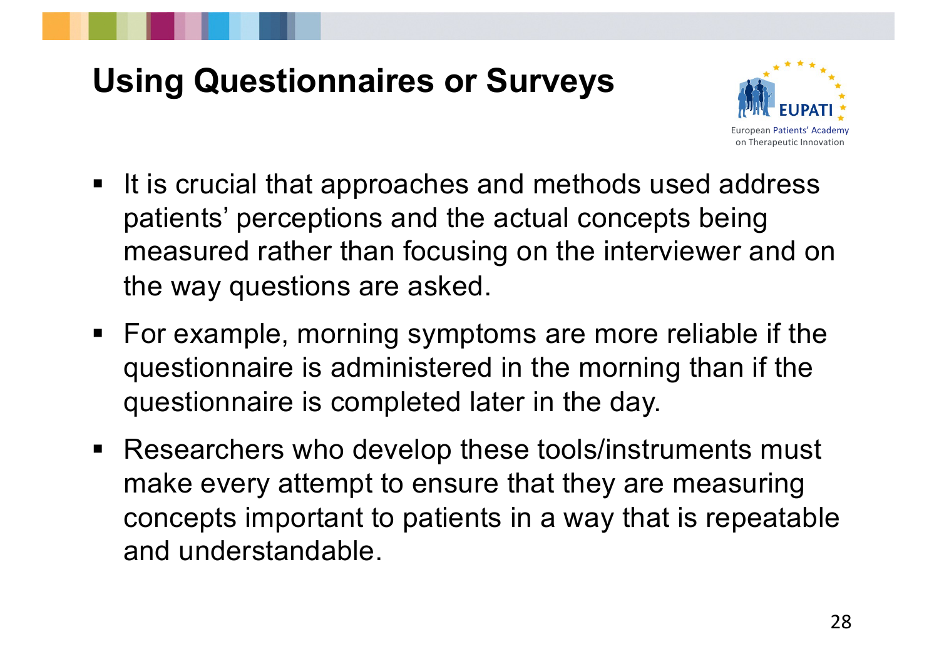#### **Using Questionnaires or Surveys**



- It is crucial that approaches and methods used address patients' perceptions and the actual concepts being measured rather than focusing on the interviewer and on the way questions are asked.
- § For example, morning symptoms are more reliable if the questionnaire is administered in the morning than if the questionnaire is completed later in the day.
- Researchers who develop these tools/instruments must make every attempt to ensure that they are measuring concepts important to patients in a way that is repeatable and understandable.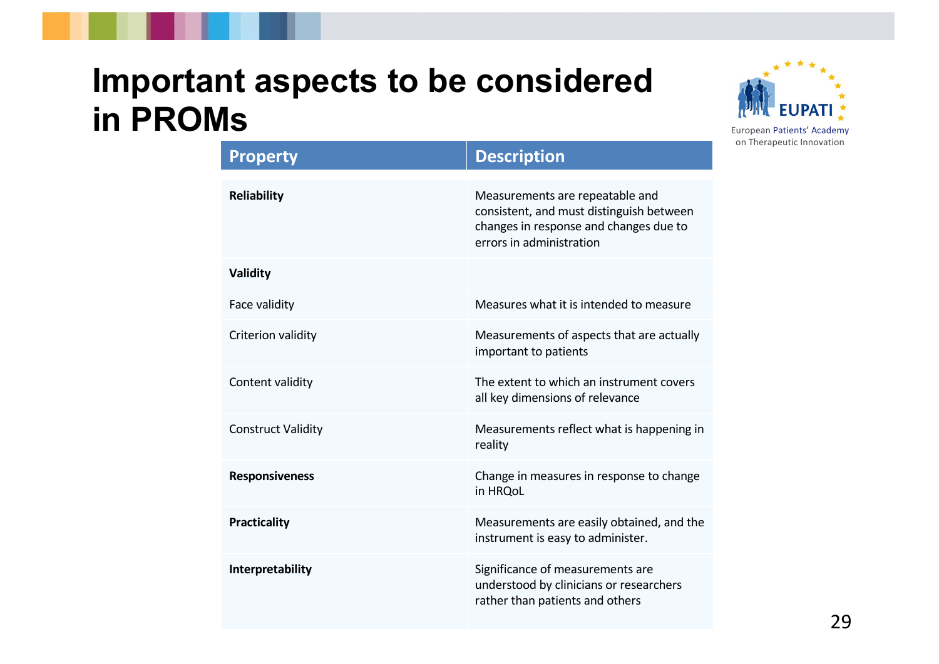#### **Important aspects to be considered in PROMs**



| <b>Property</b>           | <b>Description</b>                                                                                                                                |
|---------------------------|---------------------------------------------------------------------------------------------------------------------------------------------------|
| <b>Reliability</b>        | Measurements are repeatable and<br>consistent, and must distinguish between<br>changes in response and changes due to<br>errors in administration |
| Validity                  |                                                                                                                                                   |
| Face validity             | Measures what it is intended to measure                                                                                                           |
| Criterion validity        | Measurements of aspects that are actually<br>important to patients                                                                                |
| Content validity          | The extent to which an instrument covers<br>all key dimensions of relevance                                                                       |
| <b>Construct Validity</b> | Measurements reflect what is happening in<br>reality                                                                                              |
| <b>Responsiveness</b>     | Change in measures in response to change<br>in HRQoL                                                                                              |
| <b>Practicality</b>       | Measurements are easily obtained, and the<br>instrument is easy to administer.                                                                    |
| Interpretability          | Significance of measurements are<br>understood by clinicians or researchers<br>rather than patients and others                                    |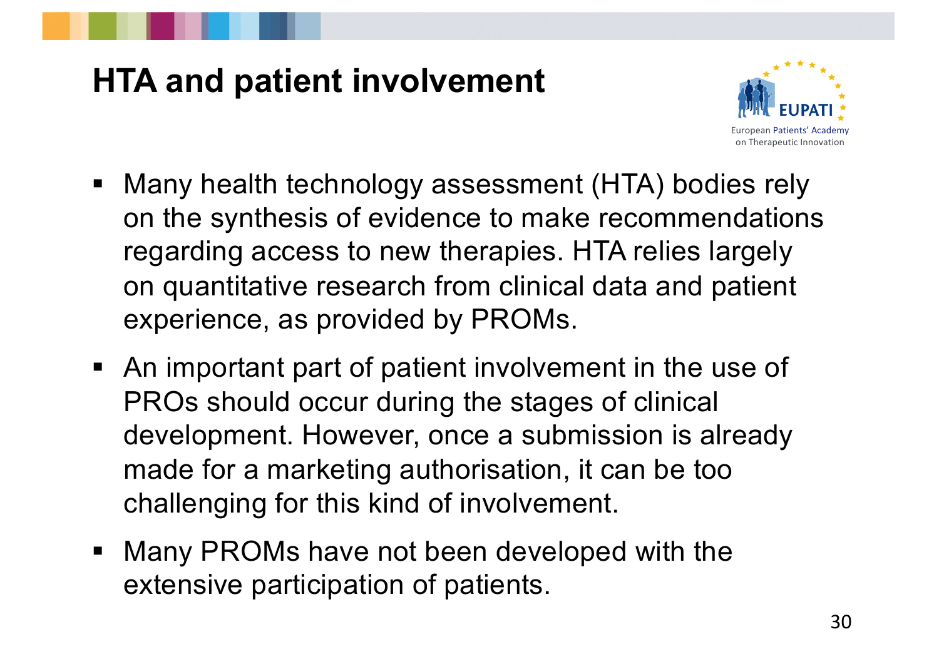## **HTA and patient involvement**



- Many health technology assessment (HTA) bodies rely on the synthesis of evidence to make recommendations regarding access to new therapies. HTA relies largely on quantitative research from clinical data and patient experience, as provided by PROMs.
- § An important part of patient involvement in the use of PROs should occur during the stages of clinical development. However, once a submission is already made for a marketing authorisation, it can be too challenging for this kind of involvement.
- Many PROMs have not been developed with the extensive participation of patients.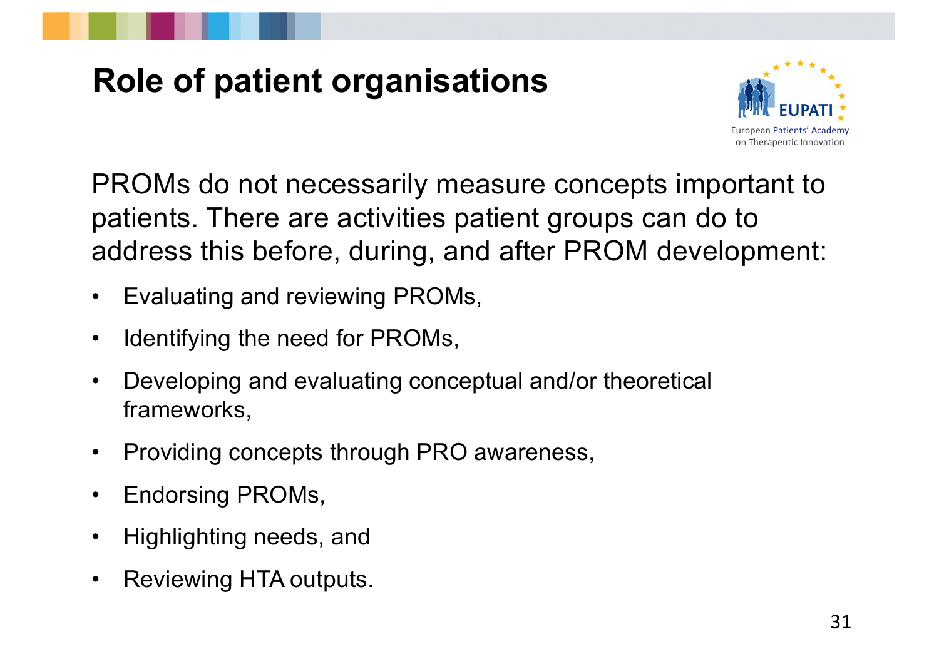## **Role of patient organisations**



PROMs do not necessarily measure concepts important to patients. There are activities patient groups can do to address this before, during, and after PROM development:

- Evaluating and reviewing PROMs,
- Identifying the need for PROMs,
- Developing and evaluating conceptual and/or theoretical frameworks,
- Providing concepts through PRO awareness,
- Endorsing PROMs,
- Highlighting needs, and
- Reviewing HTA outputs.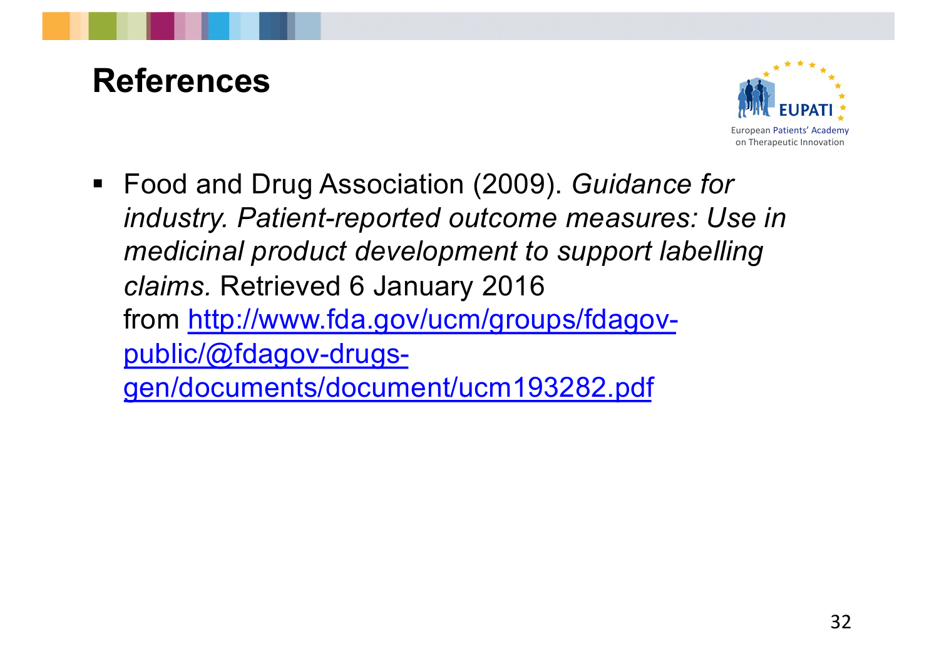#### **References**



■ Food and Drug Association (2009). *Guidance for industry. Patient-reported outcome measures: Use in medicinal product development to support labelling claims.* Retrieved 6 January 2016 from http://www.fda.gov/ucm/groups/fdagovpublic/@fdagov-drugs[gen/documents/document/ucm193282.pd](http://www.fda.gov/ucm/groups/fdagov-public/@fdagov-drugs-gen/documents/document/ucm193282.pdf)f